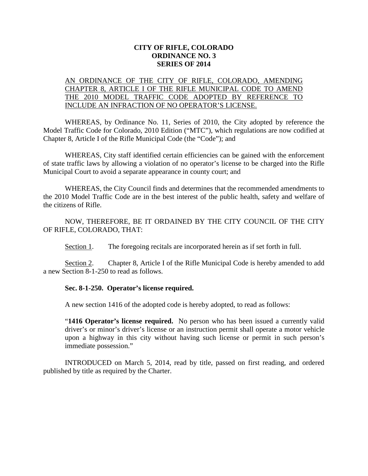## **CITY OF RIFLE, COLORADO ORDINANCE NO. 3 SERIES OF 2014**

## AN ORDINANCE OF THE CITY OF RIFLE, COLORADO, AMENDING CHAPTER 8, ARTICLE I OF THE RIFLE MUNICIPAL CODE TO AMEND THE 2010 MODEL TRAFFIC CODE ADOPTED BY REFERENCE TO INCLUDE AN INFRACTION OF NO OPERATOR'S LICENSE.

WHEREAS, by Ordinance No. 11, Series of 2010, the City adopted by reference the Model Traffic Code for Colorado, 2010 Edition ("MTC"), which regulations are now codified at Chapter 8, Article I of the Rifle Municipal Code (the "Code"); and

WHEREAS, City staff identified certain efficiencies can be gained with the enforcement of state traffic laws by allowing a violation of no operator's license to be charged into the Rifle Municipal Court to avoid a separate appearance in county court; and

WHEREAS, the City Council finds and determines that the recommended amendments to the 2010 Model Traffic Code are in the best interest of the public health, safety and welfare of the citizens of Rifle.

NOW, THEREFORE, BE IT ORDAINED BY THE CITY COUNCIL OF THE CITY OF RIFLE, COLORADO, THAT:

Section 1. The foregoing recitals are incorporated herein as if set forth in full.

Section 2. Chapter 8, Article I of the Rifle Municipal Code is hereby amended to add a new Section 8-1-250 to read as follows.

## **Sec. 8-1-250. Operator's license required.**

A new section 1416 of the adopted code is hereby adopted, to read as follows:

"**1416 Operator's license required.** No person who has been issued a currently valid driver's or minor's driver's license or an instruction permit shall operate a motor vehicle upon a highway in this city without having such license or permit in such person's immediate possession."

INTRODUCED on March 5, 2014, read by title, passed on first reading, and ordered published by title as required by the Charter.